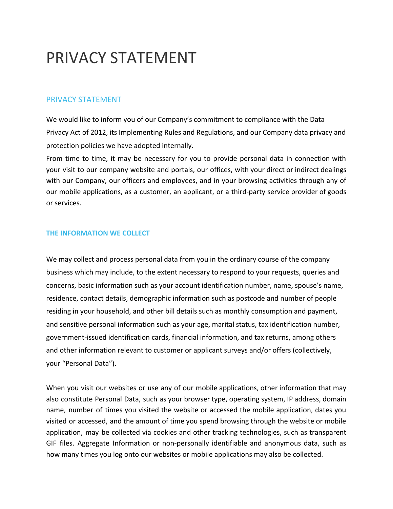# PRIVACY STATEMENT

# [PRIVACY STATEMENT](http://www.davaolight.com/index.php/about/privacy-statement/432-privacy-statement)

We would like to inform you of our Company's commitment to compliance with the Data Privacy Act of 2012, its Implementing Rules and Regulations, and our Company data privacy and protection policies we have adopted internally.

From time to time, it may be necessary for you to provide personal data in connection with your visit to our company website and portals, our offices, with your direct or indirect dealings with our Company, our officers and employees, and in your browsing activities through any of our mobile applications, as a customer, an applicant, or a third-party service provider of goods or services.

## **THE INFORMATION WE COLLECT**

We may collect and process personal data from you in the ordinary course of the company business which may include, to the extent necessary to respond to your requests, queries and concerns, basic information such as your account identification number, name, spouse's name, residence, contact details, demographic information such as postcode and number of people residing in your household, and other bill details such as monthly consumption and payment, and sensitive personal information such as your age, marital status, tax identification number, government-issued identification cards, financial information, and tax returns, among others and other information relevant to customer or applicant surveys and/or offers (collectively, your "Personal Data").

When you visit our websites or use any of our mobile applications, other information that may also constitute Personal Data, such as your browser type, operating system, IP address, domain name, number of times you visited the website or accessed the mobile application, dates you visited or accessed, and the amount of time you spend browsing through the website or mobile application, may be collected via cookies and other tracking technologies, such as transparent GIF files. Aggregate Information or non-personally identifiable and anonymous data, such as how many times you log onto our websites or mobile applications may also be collected.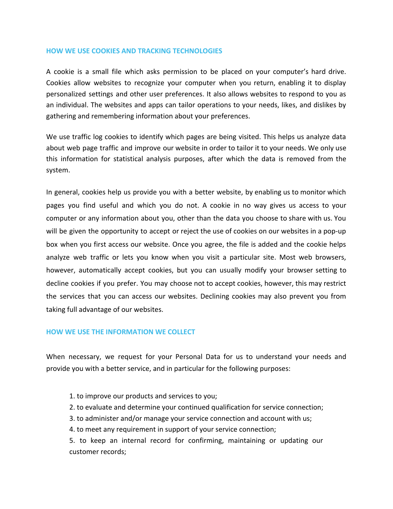#### **HOW WE USE COOKIES AND TRACKING TECHNOLOGIES**

A cookie is a small file which asks permission to be placed on your computer's hard drive. Cookies allow websites to recognize your computer when you return, enabling it to display personalized settings and other user preferences. It also allows websites to respond to you as an individual. The websites and apps can tailor operations to your needs, likes, and dislikes by gathering and remembering information about your preferences.

We use traffic log cookies to identify which pages are being visited. This helps us analyze data about web page traffic and improve our website in order to tailor it to your needs. We only use this information for statistical analysis purposes, after which the data is removed from the system.

In general, cookies help us provide you with a better website, by enabling us to monitor which pages you find useful and which you do not. A cookie in no way gives us access to your computer or any information about you, other than the data you choose to share with us. You will be given the opportunity to accept or reject the use of cookies on our websites in a pop-up box when you first access our website. Once you agree, the file is added and the cookie helps analyze web traffic or lets you know when you visit a particular site. Most web browsers, however, automatically accept cookies, but you can usually modify your browser setting to decline cookies if you prefer. You may choose not to accept cookies, however, this may restrict the services that you can access our websites. Declining cookies may also prevent you from taking full advantage of our websites.

#### **HOW WE USE THE INFORMATION WE COLLECT**

When necessary, we request for your Personal Data for us to understand your needs and provide you with a better service, and in particular for the following purposes:

- 1. to improve our products and services to you;
- 2. to evaluate and determine your continued qualification for service connection;
- 3. to administer and/or manage your service connection and account with us;
- 4. to meet any requirement in support of your service connection;

5. to keep an internal record for confirming, maintaining or updating our customer records;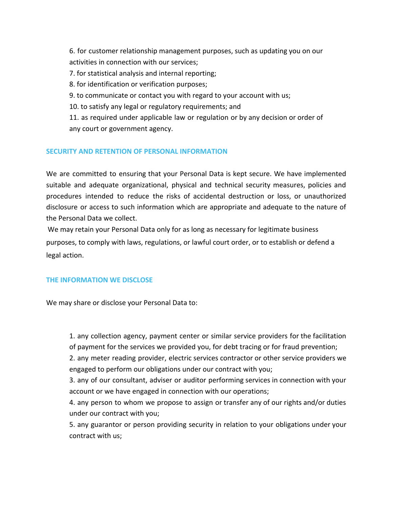6. for customer relationship management purposes, such as updating you on our activities in connection with our services;

7. for statistical analysis and internal reporting;

8. for identification or verification purposes;

9. to communicate or contact you with regard to your account with us;

10. to satisfy any legal or regulatory requirements; and

11. as required under applicable law or regulation or by any decision or order of any court or government agency.

# **SECURITY AND RETENTION OF PERSONAL INFORMATION**

We are committed to ensuring that your Personal Data is kept secure. We have implemented suitable and adequate organizational, physical and technical security measures, policies and procedures intended to reduce the risks of accidental destruction or loss, or unauthorized disclosure or access to such information which are appropriate and adequate to the nature of the Personal Data we collect.

We may retain your Personal Data only for as long as necessary for legitimate business purposes, to comply with laws, regulations, or lawful court order, or to establish or defend a legal action.

# **THE INFORMATION WE DISCLOSE**

We may share or disclose your Personal Data to:

1. any collection agency, payment center or similar service providers for the facilitation of payment for the services we provided you, for debt tracing or for fraud prevention;

2. any meter reading provider, electric services contractor or other service providers we engaged to perform our obligations under our contract with you;

3. any of our consultant, adviser or auditor performing services in connection with your account or we have engaged in connection with our operations;

4. any person to whom we propose to assign or transfer any of our rights and/or duties under our contract with you;

5. any guarantor or person providing security in relation to your obligations under your contract with us;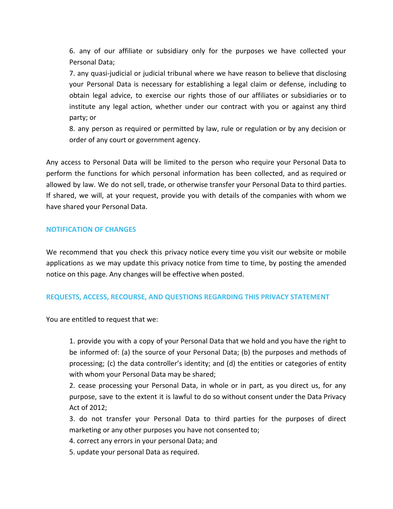6. any of our affiliate or subsidiary only for the purposes we have collected your Personal Data;

7. any quasi-judicial or judicial tribunal where we have reason to believe that disclosing your Personal Data is necessary for establishing a legal claim or defense, including to obtain legal advice, to exercise our rights those of our affiliates or subsidiaries or to institute any legal action, whether under our contract with you or against any third party; or

8. any person as required or permitted by law, rule or regulation or by any decision or order of any court or government agency.

Any access to Personal Data will be limited to the person who require your Personal Data to perform the functions for which personal information has been collected, and as required or allowed by law. We do not sell, trade, or otherwise transfer your Personal Data to third parties. If shared, we will, at your request, provide you with details of the companies with whom we have shared your Personal Data.

## **NOTIFICATION OF CHANGES**

We recommend that you check this privacy notice every time you visit our website or mobile applications as we may update this privacy notice from time to time, by posting the amended notice on this page. Any changes will be effective when posted.

## **REQUESTS, ACCESS, RECOURSE, AND QUESTIONS REGARDING THIS PRIVACY STATEMENT**

You are entitled to request that we:

1. provide you with a copy of your Personal Data that we hold and you have the right to be informed of: (a) the source of your Personal Data; (b) the purposes and methods of processing; (c) the data controller's identity; and (d) the entities or categories of entity with whom your Personal Data may be shared;

2. cease processing your Personal Data, in whole or in part, as you direct us, for any purpose, save to the extent it is lawful to do so without consent under the Data Privacy Act of 2012;

3. do not transfer your Personal Data to third parties for the purposes of direct marketing or any other purposes you have not consented to;

4. correct any errors in your personal Data; and

5. update your personal Data as required.